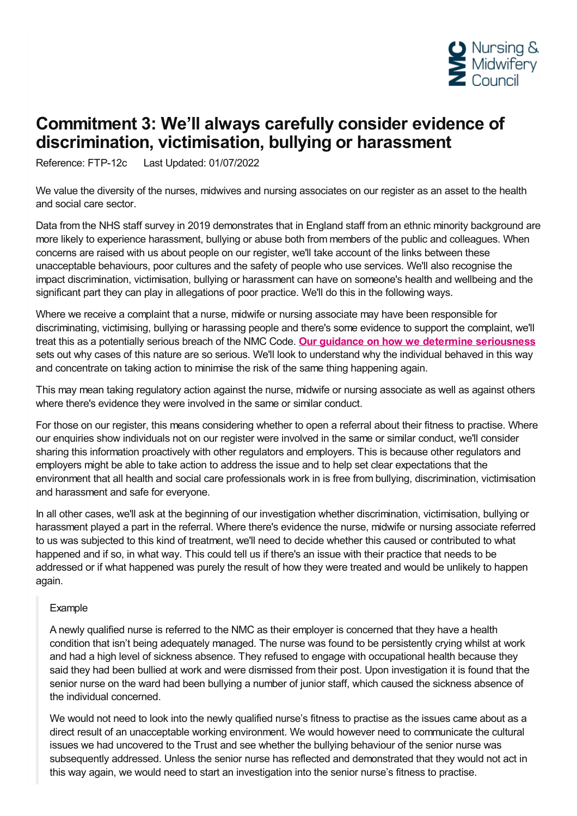

## **Commitment 3: We'll always carefully consider evidence of discrimination, victimisation, bullying or harassment**

Reference: FTP-12c Last Updated: 01/07/2022

We value the diversity of the nurses, midwives and nursing associates on our register as an asset to the health and social care sector.

Data from the NHS staff survey in 2019 demonstrates that in England staff from an ethnic minority background are more likely to experience harassment, bullying or abuse both from members of the public and colleagues. When concerns are raised with us about people on our register, we'll take account of the links between these unacceptable behaviours, poor cultures and the safety of people who use services. We'll also recognise the impact discrimination, victimisation, bullying or harassment can have on someone's health and wellbeing and the significant part they can play in allegations of poor practice. We'll do this in the following ways.

Where we receive a complaint that a nurse, midwife or nursing associate may have been responsible for discriminating, victimising, bullying or harassing people and there's some evidence to support the complaint, we'll treat this as a potentially serious breach of the NMC Code. **Our guidance on how we determine [seriousness](https://www.nmc.org.uk/ftp-library/understanding-fitness-to-practise/how-we-determine-seriousness/)** sets out why cases of this nature are so serious. We'll look to understand why the individual behaved in this way and concentrate on taking action to minimise the risk of the same thing happening again.

This may mean taking regulatory action against the nurse, midwife or nursing associate as well as against others where there's evidence they were involved in the same or similar conduct.

For those on our register, this means considering whether to open a referral about their fitness to practise. Where our enquiries show individuals not on our register were involved in the same or similar conduct, we'll consider sharing this information proactively with other regulators and employers. This is because other regulators and employers might be able to take action to address the issue and to help set clear expectations that the environment that all health and social care professionals work in is free from bullying, discrimination, victimisation and harassment and safe for everyone.

In all other cases, we'll ask at the beginning of our investigation whether discrimination, victimisation, bullying or harassment played a part in the referral. Where there's evidence the nurse, midwife or nursing associate referred to us was subjected to this kind of treatment, we'll need to decide whether this caused or contributed to what happened and if so, in what way. This could tell us if there's an issue with their practice that needs to be addressed or if what happened was purely the result of how they were treated and would be unlikely to happen again.

## Example

A newly qualified nurse is referred to the NMC as their employer is concerned that they have a health condition that isn't being adequately managed. The nurse was found to be persistently crying whilst at work and had a high level of sickness absence. They refused to engage with occupational health because they said they had been bullied at work and were dismissed from their post. Upon investigation it is found that the senior nurse on the ward had been bullying a number of junior staff, which caused the sickness absence of the individual concerned.

We would not need to look into the newly qualified nurse's fitness to practise as the issues came about as a direct result of an unacceptable working environment. We would however need to communicate the cultural issues we had uncovered to the Trust and see whether the bullying behaviour of the senior nurse was subsequently addressed. Unless the senior nurse has reflected and demonstrated that they would not act in this way again, we would need to start an investigation into the senior nurse's fitness to practise.